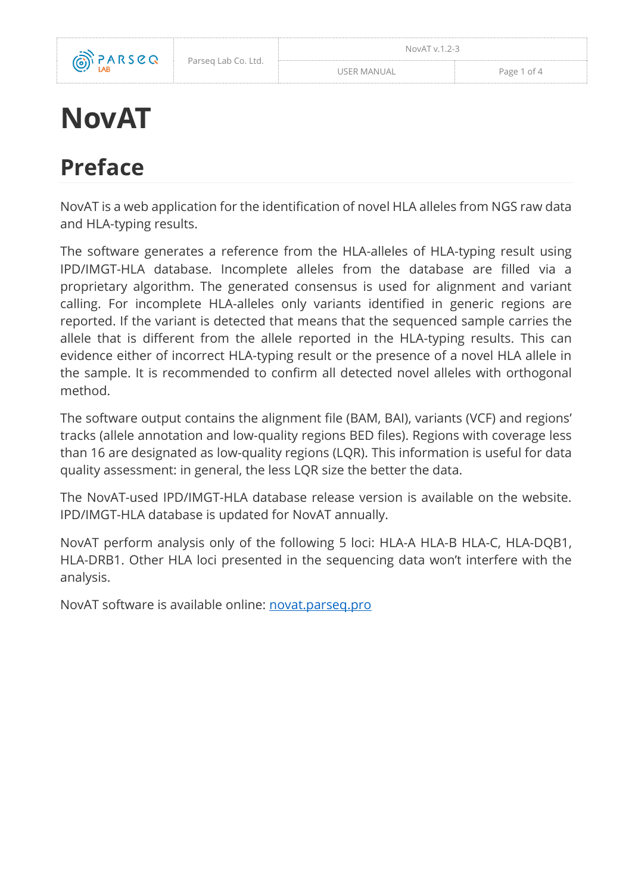

# **NovAT**

## **Preface**

NovAT is a web application for the identification of novel HLA alleles from NGS raw data and HLA-typing results.

The software generates a reference from the HLA-alleles of HLA-typing result using IPD/IMGT-HLA database. Incomplete alleles from the database are filled via a proprietary algorithm. The generated consensus is used for alignment and variant calling. For incomplete HLA-alleles only variants identified in generic regions are reported. If the variant is detected that means that the sequenced sample carries the allele that is different from the allele reported in the HLA-typing results. This can evidence either of incorrect HLA-typing result or the presence of a novel HLA allele in the sample. It is recommended to confirm all detected novel alleles with orthogonal method.

The software output contains the alignment file (BAM, BAI), variants (VCF) and regions' tracks (allele annotation and low-quality regions BED files). Regions with coverage less than 16 are designated as low-quality regions (LQR). This information is useful for data quality assessment: in general, the less LQR size the better the data.

The NovAT-used IPD/IMGT-HLA database release version is available on the website. IPD/IMGT-HLA database is updated for NovAT annually.

NovAT perform analysis only of the following 5 loci: HLA-A HLA-B HLA-C, HLA-DQB1, HLA-DRB1. Other HLA loci presented in the sequencing data won't interfere with the analysis.

NovAT software is available online: [novat.parseq.pro](https://novat.parseq.pro/)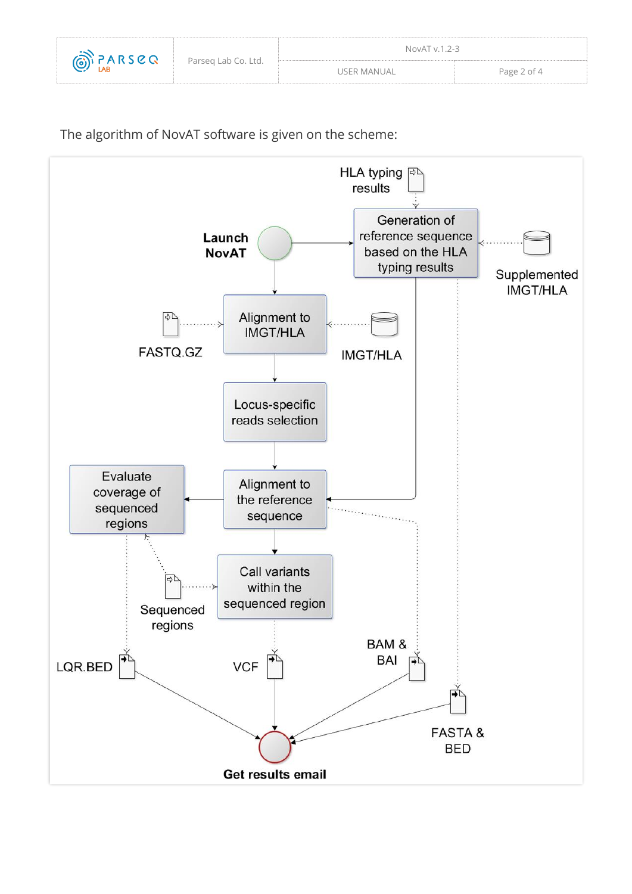

The algorithm of NovAT software is given on the scheme:

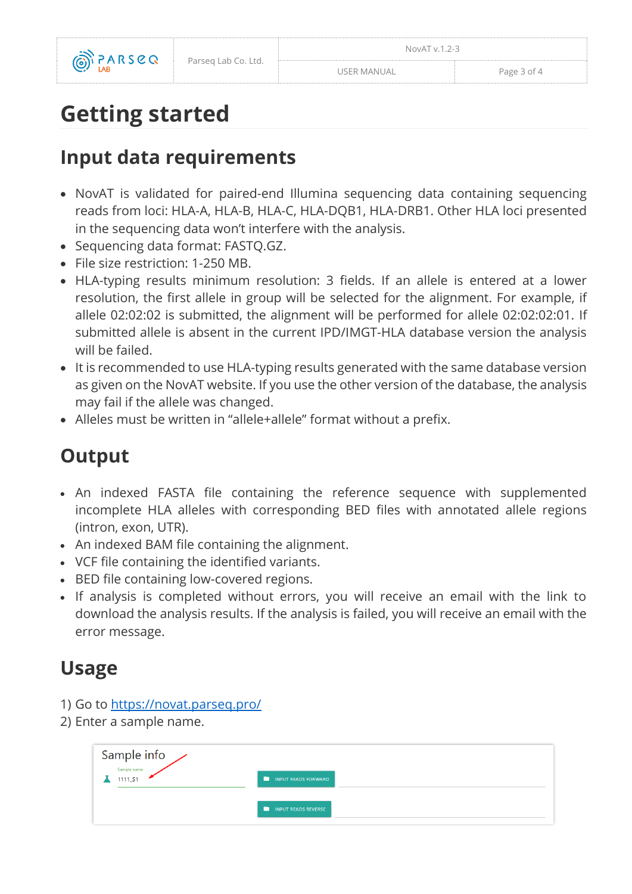

## **Getting started**

### **Input data requirements**

- NovAT is validated for paired-end Illumina sequencing data containing sequencing reads from loci: HLA-A, HLA-B, HLA-C, HLA-DQB1, HLA-DRB1. Other HLA loci presented in the sequencing data won't interfere with the analysis.
- Sequencing data format: FASTQ.GZ.
- File size restriction: 1-250 MB.
- HLA-typing results minimum resolution: 3 fields. If an allele is entered at a lower resolution, the first allele in group will be selected for the alignment. For example, if allele 02:02:02 is submitted, the alignment will be performed for allele 02:02:02:01. If submitted allele is absent in the current IPD/IMGT-HLA database version the analysis will be failed.
- It is recommended to use HLA-typing results generated with the same database version as given on the NovAT website. If you use the other version of the database, the analysis may fail if the allele was changed.
- Alleles must be written in "allele+allele" format without a prefix.

### **Output**

- An indexed FASTA file containing the reference sequence with supplemented incomplete HLA alleles with corresponding BED files with annotated allele regions (intron, exon, UTR).
- An indexed BAM file containing the alignment.
- VCF file containing the identified variants.
- BED file containing low-covered regions.
- If analysis is completed without errors, you will receive an email with the link to download the analysis results. If the analysis is failed, you will receive an email with the error message.

### **Usage**

- 1) Go to<https://novat.parseq.pro/>
- 2) Enter a sample name.

| Sample info |                          |
|-------------|--------------------------|
| 1111_S1     | n<br>INPUT READS FORWARD |
|             | INPUT READS REVERSE      |